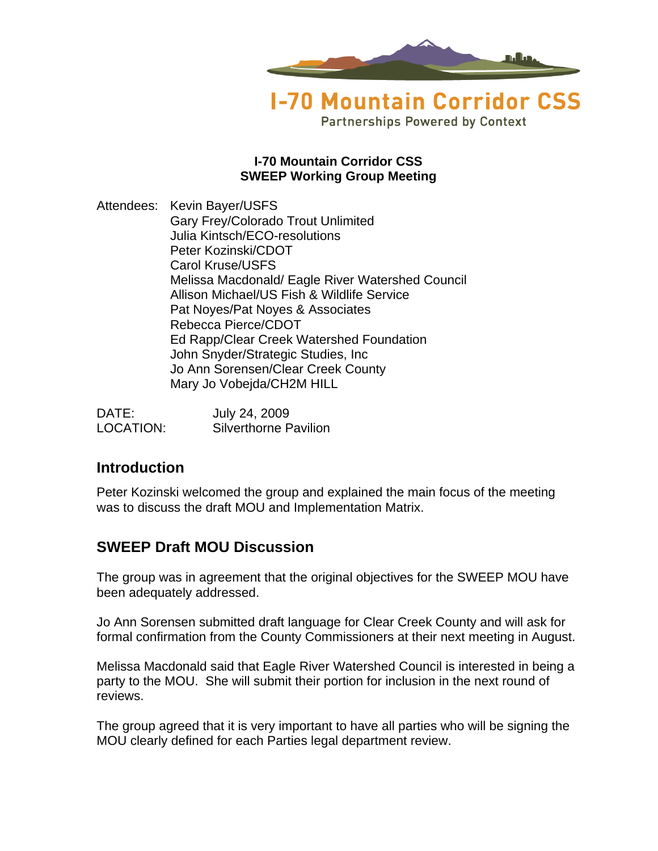

**Partnerships Powered by Context** 

#### **I-70 Mountain Corridor CSS SWEEP Working Group Meeting**

Attendees: Kevin Bayer/USFS Gary Frey/Colorado Trout Unlimited Julia Kintsch/ECO-resolutions Peter Kozinski/CDOT Carol Kruse/USFS Melissa Macdonald/ Eagle River Watershed Council Allison Michael/US Fish & Wildlife Service Pat Noyes/Pat Noyes & Associates Rebecca Pierce/CDOT Ed Rapp/Clear Creek Watershed Foundation John Snyder/Strategic Studies, Inc Jo Ann Sorensen/Clear Creek County Mary Jo Vobejda/CH2M HILL

| DATE:     | July 24, 2009                |
|-----------|------------------------------|
| LOCATION: | <b>Silverthorne Pavilion</b> |

## **Introduction**

Peter Kozinski welcomed the group and explained the main focus of the meeting was to discuss the draft MOU and Implementation Matrix.

# **SWEEP Draft MOU Discussion**

The group was in agreement that the original objectives for the SWEEP MOU have been adequately addressed.

Jo Ann Sorensen submitted draft language for Clear Creek County and will ask for formal confirmation from the County Commissioners at their next meeting in August.

Melissa Macdonald said that Eagle River Watershed Council is interested in being a party to the MOU. She will submit their portion for inclusion in the next round of reviews.

The group agreed that it is very important to have all parties who will be signing the MOU clearly defined for each Parties legal department review.